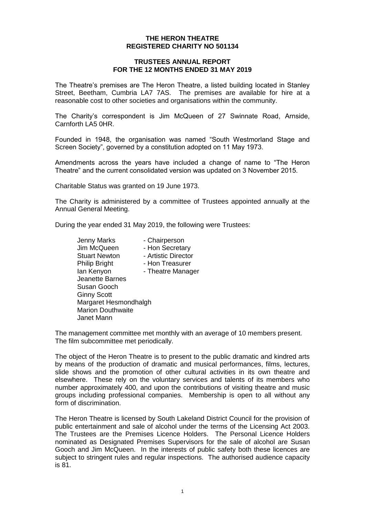### **THE HERON THEATRE REGISTERED CHARITY NO 501134**

#### **TRUSTEES ANNUAL REPORT FOR THE 12 MONTHS ENDED 31 MAY 2019**

The Theatre's premises are The Heron Theatre, a listed building located in Stanley Street, Beetham, Cumbria LA7 7AS. The premises are available for hire at a reasonable cost to other societies and organisations within the community.

The Charity's correspondent is Jim McQueen of 27 Swinnate Road, Arnside, Carnforth LA5 0HR.

Founded in 1948, the organisation was named "South Westmorland Stage and Screen Society", governed by a constitution adopted on 11 May 1973.

Amendments across the years have included a change of name to "The Heron Theatre" and the current consolidated version was updated on 3 November 2015.

Charitable Status was granted on 19 June 1973.

The Charity is administered by a committee of Trustees appointed annually at the Annual General Meeting.

During the year ended 31 May 2019, the following were Trustees:

Jenny Marks - Chairperson Jim McQueen - Hon Secretary Stuart Newton - Artistic Director Philip Bright - Hon Treasurer Ian Kenyon - Theatre Manager Jeanette Barnes Susan Gooch Ginny Scott Margaret Hesmondhalgh Marion Douthwaite Janet Mann

The management committee met monthly with an average of 10 members present. The film subcommittee met periodically.

The object of the Heron Theatre is to present to the public dramatic and kindred arts by means of the production of dramatic and musical performances, films, lectures, slide shows and the promotion of other cultural activities in its own theatre and elsewhere. These rely on the voluntary services and talents of its members who number approximately 400, and upon the contributions of visiting theatre and music groups including professional companies. Membership is open to all without any form of discrimination.

The Heron Theatre is licensed by South Lakeland District Council for the provision of public entertainment and sale of alcohol under the terms of the Licensing Act 2003. The Trustees are the Premises Licence Holders. The Personal Licence Holders nominated as Designated Premises Supervisors for the sale of alcohol are Susan Gooch and Jim McQueen. In the interests of public safety both these licences are subject to stringent rules and regular inspections. The authorised audience capacity is 81.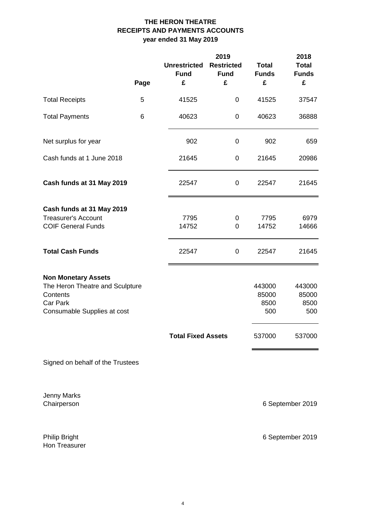# **THE HERON THEATRE RECEIPTS AND PAYMENTS ACCOUNTS year ended 31 May 2019**

|                                                                                                                      | Page | <b>Unrestricted</b><br><b>Fund</b><br>£ | 2019<br><b>Restricted</b><br><b>Fund</b><br>£ | <b>Total</b><br><b>Funds</b><br>£ | 2018<br><b>Total</b><br><b>Funds</b><br>£ |
|----------------------------------------------------------------------------------------------------------------------|------|-----------------------------------------|-----------------------------------------------|-----------------------------------|-------------------------------------------|
| <b>Total Receipts</b>                                                                                                | 5    | 41525                                   | 0                                             | 41525                             | 37547                                     |
| <b>Total Payments</b>                                                                                                | 6    | 40623                                   | $\pmb{0}$                                     | 40623                             | 36888                                     |
| Net surplus for year                                                                                                 |      | 902                                     | 0                                             | 902                               | 659                                       |
| Cash funds at 1 June 2018                                                                                            |      | 21645                                   | $\mathbf 0$                                   | 21645                             | 20986                                     |
| Cash funds at 31 May 2019                                                                                            |      | 22547                                   | 0                                             | 22547                             | 21645                                     |
| Cash funds at 31 May 2019<br><b>Treasurer's Account</b><br><b>COIF General Funds</b>                                 |      | 7795<br>14752                           | 0<br>0                                        | 7795<br>14752                     | 6979<br>14666                             |
| <b>Total Cash Funds</b>                                                                                              |      | 22547                                   | 0                                             | 22547                             | 21645                                     |
| <b>Non Monetary Assets</b><br>The Heron Theatre and Sculpture<br>Contents<br>Car Park<br>Consumable Supplies at cost |      |                                         |                                               | 443000<br>85000<br>8500<br>500    | 443000<br>85000<br>8500<br>500            |
|                                                                                                                      |      | <b>Total Fixed Assets</b>               |                                               | 537000                            | 537000                                    |
| Signed on behalf of the Trustees                                                                                     |      |                                         |                                               |                                   |                                           |

Jenny Marks<br>Chairperson

6 September 2019

Hon Treasurer

Philip Bright 6 September 2019